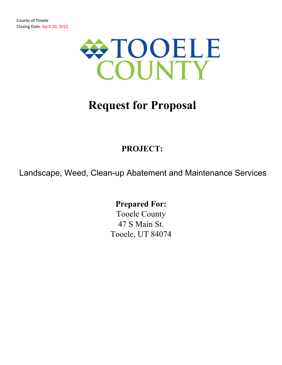

# **Request for Proposal**

## **PROJECT:**

Landscape, Weed, Clean-up Abatement and Maintenance Services

**Prepared For:** 

Tooele County 47 S Main St. Tooele, UT 84074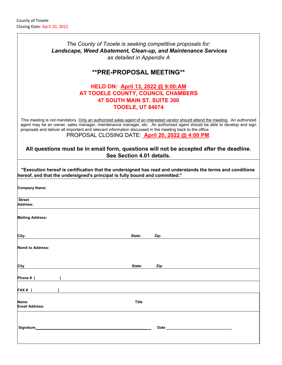| The County of Tooele is seeking competitive proposals for:<br>Landscape, Weed Abatement, Clean-up, and Maintenance Services<br>as detailed in Appendix A                                                                                                                                                                                                                                                                  |      |
|---------------------------------------------------------------------------------------------------------------------------------------------------------------------------------------------------------------------------------------------------------------------------------------------------------------------------------------------------------------------------------------------------------------------------|------|
| <b>**PRE-PROPOSAL MEETING**</b>                                                                                                                                                                                                                                                                                                                                                                                           |      |
| HELD ON: April 13, 2022 @ 9:00:AM<br>AT TOOELE COUNTY, COUNCIL CHAMBERS<br><b>47 SOUTH MAIN ST. SUITE 300</b><br><b>TOOELE, UT 84074</b>                                                                                                                                                                                                                                                                                  |      |
| This meeting is not mandatory. Only an authorized sales agent of an interested vendor should attend the meeting. An authorized<br>agent may be an owner, sales manager, maintenance manager, etc. An authorized agent should be able to develop and sign<br>proposals and deliver all important and relevant information discussed in the meeting back to the office.<br>PROPOSAL CLOSING DATE: April 20, 2022 @ 4:00 PM. |      |
| All questions must be in email form, questions will not be accepted after the deadline.<br>See Section 4.01 details.                                                                                                                                                                                                                                                                                                      |      |
| "Execution hereof is certification that the undersigned has read and understands the terms and conditions<br>hereof, and that the undersigned's principal is fully bound and committed."                                                                                                                                                                                                                                  |      |
| <b>Company Name:</b>                                                                                                                                                                                                                                                                                                                                                                                                      |      |
| <b>Street</b><br><b>Address:</b>                                                                                                                                                                                                                                                                                                                                                                                          |      |
| <b>Mailing Address:</b>                                                                                                                                                                                                                                                                                                                                                                                                   |      |
| City:<br>State:                                                                                                                                                                                                                                                                                                                                                                                                           | Zip: |
| <b>Remit to Address:</b>                                                                                                                                                                                                                                                                                                                                                                                                  |      |
| City<br>State:                                                                                                                                                                                                                                                                                                                                                                                                            | Zip: |
| Phone # (<br><u> 1980 - Andrea Andrew Maria (h. 1980).</u>                                                                                                                                                                                                                                                                                                                                                                |      |
| FAX# (                                                                                                                                                                                                                                                                                                                                                                                                                    |      |
| Title<br>Name<br><b>Email Address:</b>                                                                                                                                                                                                                                                                                                                                                                                    |      |
|                                                                                                                                                                                                                                                                                                                                                                                                                           |      |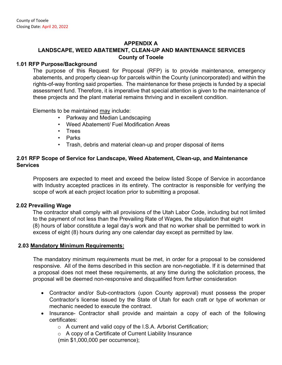#### **APPENDIX A**

#### **LANDSCAPE, WEED ABATEMENT, CLEAN-UP AND MAINTENANCE SERVICES County of Tooele**

#### **1.01 RFP Purpose/Background**

The purpose of this Request for Proposal (RFP) is to provide maintenance, emergency abatements, and property clean-up for parcels within the County (unincorporated) and within the rights-of-way fronting said properties. The maintenance for these projects is funded by a special assessment fund. Therefore, it is imperative that special attention is given to the maintenance of these projects and the plant material remains thriving and in excellent condition.

Elements to be maintained may include:

- Parkway and Median Landscaping
- Weed Abatement/ Fuel Modification Areas
- Trees
- Parks
- Trash, debris and material clean-up and proper disposal of items

#### **2.01 RFP Scope of Service for Landscape, Weed Abatement, Clean-up, and Maintenance Services**

Proposers are expected to meet and exceed the below listed Scope of Service in accordance with Industry accepted practices in its entirety. The contractor is responsible for verifying the scope of work at each project location prior to submitting a proposal.

#### **2.02 Prevailing Wage**

The contractor shall comply with all provisions of the Utah Labor Code, including but not limited to the payment of not less than the Prevailing Rate of Wages, the stipulation that eight (8) hours of labor constitute a legal day's work and that no worker shall be permitted to work in excess of eight (8) hours during any one calendar day except as permitted by law.

#### **2.03 Mandatory Minimum Requirements:**

The mandatory minimum requirements must be met, in order for a proposal to be considered responsive. All of the items described in this section are non-negotiable. If it is determined that a proposal does not meet these requirements, at any time during the solicitation process, the proposal will be deemed non-responsive and disqualified from further consideration

- Contractor and/or Sub-contractors (upon County approval) must possess the proper Contractor's license issued by the State of Utah for each craft or type of workman or mechanic needed to execute the contract.
- Insurance- Contractor shall provide and maintain a copy of each of the following certificates:
	- o A current and valid copy of the I.S.A. Arborist Certification;
	- o A copy of a Certificate of Current Liability Insurance (min \$1,000,000 per occurrence);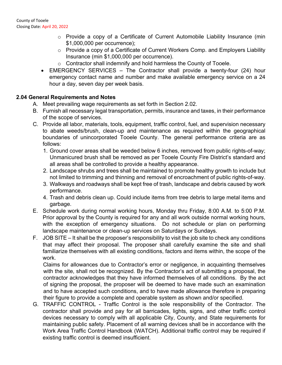- o Provide a copy of a Certificate of Current Automobile Liability Insurance (min \$1,000,000 per occurrence);
- o Provide a copy of a Certificate of Current Workers Comp. and Employers Liability Insurance (min \$1,000,000 per occurrence).
- o Contractor shall indemnify and hold harmless the County of Tooele.
- EMERGENCY SERVICES The Contractor shall provide a twenty-four (24) hour emergency contact name and number and make available emergency service on a 24 hour a day, seven day per week basis.

#### **2.04 General Requirements and Notes**

- A. Meet prevailing wage requirements as set forth in Section 2.02.
- B. Furnish all necessary legal transportation, permits, insurance and taxes, in their performance of the scope of services.
- C. Provide all labor, materials, tools, equipment, traffic control, fuel, and supervision necessary to abate weeds/brush, clean-up and maintenance as required within the geographical boundaries of unincorporated Tooele County. The general performance criteria are as follows:
	- 1. Ground cover areas shall be weeded below 6 inches, removed from public rights-of-way; Unmanicured brush shall be removed as per Tooele County Fire District's standard and all areas shall be controlled to provide a healthy appearance.
	- 2. Landscape shrubs and trees shall be maintained to promote healthy growth to include but not limited to trimming and thinning and removal of encroachment of public rights-of-way.
	- 3. Walkways and roadways shall be kept free of trash, landscape and debris caused by work performance.
	- 4. Trash and debris clean up. Could include items from tree debris to large metal items and garbage.
- E. Schedule work during normal working hours, Monday thru Friday, 8:00 A.M. to 5:00 P.M. Prior approval by the County is required for any and all work outside normal working hours, with the exception of emergency situations. Do not schedule or plan on performing landscape maintenance or clean-up services on Saturdays or Sundays.
- F. JOB SITE It shall be the proposer's responsibility to visit the job site to check any conditions that may affect their proposal. The proposer shall carefully examine the site and shall familiarize themselves with all existing conditions, factors and items within, the scope of the work.

Claims for allowances due to Contractor's error or negligence, in acquainting themselves with the site, shall not be recognized. By the Contractor's act of submitting a proposal, the contractor acknowledges that they have informed themselves of all conditions. By the act of signing the proposal, the proposer will be deemed to have made such an examination and to have accepted such conditions, and to have made allowance therefore in preparing their figure to provide a complete and operable system as shown and/or specified.

G. TRAFFIC CONTROL - Traffic Control is the sole responsibility of the Contractor. The contractor shall provide and pay for all barricades, lights, signs, and other traffic control devices necessary to comply with all applicable City, County, and State requirements for maintaining public safety. Placement of all warning devices shall be in accordance with the Work Area Traffic Control Handbook (WATCH). Additional traffic control may be required if existing traffic control is deemed insufficient.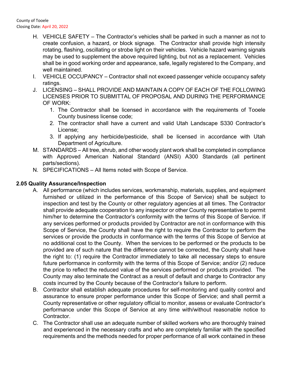- H. VEHICLE SAFETY The Contractor's vehicles shall be parked in such a manner as not to create confusion, a hazard, or block signage. The Contractor shall provide high intensity rotating, flashing, oscillating or strobe light on their vehicles. Vehicle hazard warning signals may be used to supplement the above required lighting, but not as a replacement. Vehicles shall be in good working order and appearance, safe, legally registered to the Company, and well maintained
- I. VEHICLE OCCUPANCY Contractor shall not exceed passenger vehicle occupancy safety ratings.
- J. LICENSING SHALL PROVIDE AND MAINTAIN A COPY OF EACH OF THE FOLLOWING LICENSES PRIOR TO SUBMITTAL OF PROPOSAL AND DURING THE PERFORMANCE OF WORK:
	- 1. The Contractor shall be licensed in accordance with the requirements of Tooele County business license code;
	- 2. The contractor shall have a current and valid Utah Landscape S330 Contractor's License;
	- 3. If applying any herbicide/pesticide, shall be licensed in accordance with Utah Department of Agriculture.
- M. STANDARDS All tree, shrub, and other woody plant work shall be completed in compliance with Approved American National Standard (ANSI) A300 Standards (all pertinent parts/sections).
- N. SPECIFICATIONS All Items noted with Scope of Service.

#### **2.05 Quality Assurance/Inspection**

- A. All performance (which includes services, workmanship, materials, supplies, and equipment furnished or utilized in the performance of this Scope of Service) shall be subject to inspection and test by the County or other regulatory agencies at all times. The Contractor shall provide adequate cooperation to any inspector or other County representative to permit him/her to determine the Contractor's conformity with the terms of this Scope of Service. If any services performed or products provided by Contractor are not in conformance with this Scope of Service, the County shall have the right to require the Contractor to perform the services or provide the products in conformance with the terms of this Scope of Service at no additional cost to the County. When the services to be performed or the products to be provided are of such nature that the difference cannot be corrected, the County shall have the right to: (1) require the Contractor immediately to take all necessary steps to ensure future performance in conformity with the terms of this Scope of Service; and/or (2) reduce the price to reflect the reduced value of the services performed or products provided. The County may also terminate the Contract as a result of default and charge to Contractor any costs incurred by the County because of the Contractor's failure to perform.
- B. Contractor shall establish adequate procedures for self-monitoring and quality control and assurance to ensure proper performance under this Scope of Service; and shall permit a County representative or other regulatory official to monitor, assess or evaluate Contractor's performance under this Scope of Service at any time with/without reasonable notice to Contractor.
- C. The Contractor shall use an adequate number of skilled workers who are thoroughly trained and experienced in the necessary crafts and who are completely familiar with the specified requirements and the methods needed for proper performance of all work contained in these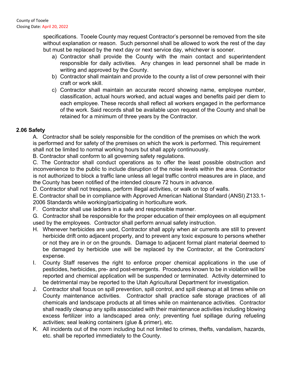specifications. Tooele County may request Contractor's personnel be removed from the site without explanation or reason. Such personnel shall be allowed to work the rest of the day but must be replaced by the next day or next service day, whichever is sooner.

- a) Contractor shall provide the County with the main contact and superintendent responsible for daily activities. Any changes in lead personnel shall be made in writing and approved by the County.
- b) Contractor shall maintain and provide to the county a list of crew personnel with their craft or work skill.
- c) Contractor shall maintain an accurate record showing name, employee number, classification, actual hours worked, and actual wages and benefits paid per diem to each employee. These records shall reflect all workers engaged in the performance of the work. Said records shall be available upon request of the County and shall be retained for a minimum of three years by the Contractor.

#### **2.06 Safety**

A. Contractor shall be solely responsible for the condition of the premises on which the work is performed and for safety of the premises on which the work is performed. This requirement shall not be limited to normal working hours but shall apply continuously.

B. Contractor shall conform to all governing safety regulations.

C. The Contractor shall conduct operations as to offer the least possible obstruction and inconvenience to the public to include disruption of the noise levels within the area. Contractor is not authorized to block a traffic lane unless all legal traffic control measures are in place, and the County has been notified of the intended closure 72 hours in advance.

D. Contractor shall not trespass, perform illegal activities, or walk on top of walls.

E. Contractor shall be in compliance with Approved American National Standard (ANSI) Z133.1- 2006 Standards while working/participating in horticulture work.

F. Contractor shall use ladders in a safe and responsible manner.

G. Contractor shall be responsible for the proper education of their employees on all equipment used by the employees. Contractor shall perform annual safety instruction.

- H. Whenever herbicides are used, Contractor shall apply when air currents are still to prevent herbicide drift onto adjacent property, and to prevent any toxic exposure to persons whether or not they are in or on the grounds. Damage to adjacent formal plant material deemed to be damaged by herbicide use will be replaced by the Contractor, at the Contractors' expense.
- I. County Staff reserves the right to enforce proper chemical applications in the use of pesticides, herbicides, pre- and post-emergents. Procedures known to be in violation will be reported and chemical application will be suspended or terminated. Activity determined to be detrimental may be reported to the Utah Agricultural Department for investigation.
- J. Contractor shall focus on spill prevention, spill control, and spill cleanup at all times while on County maintenance activities. Contractor shall practice safe storage practices of all chemicals and landscape products at all times while on maintenance activities. Contractor shall readily cleanup any spills associated with their maintenance activities including blowing excess fertilizer into a landscaped area only; preventing fuel spillage during refueling activities; seal leaking containers (glue & primer), etc.
- K. All incidents out of the norm including but not limited to crimes, thefts, vandalism, hazards, etc. shall be reported immediately to the County.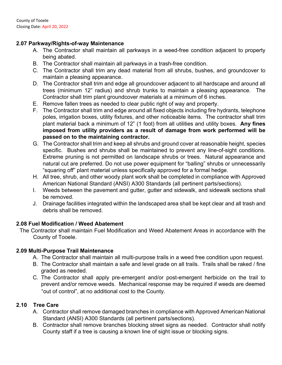#### **2.07 Parkway/Rights-of-way Maintenance**

- A. The Contractor shall maintain all parkways in a weed-free condition adjacent to property being abated.
- B. The Contractor shall maintain all parkways in a trash-free condition.
- C. The Contractor shall trim any dead material from all shrubs, bushes, and groundcover to maintain a pleasing appearance.
- D. The Contractor shall trim and edge all groundcover adjacent to all hardscape and around all trees (minimum 12" radius) and shrub trunks to maintain a pleasing appearance. The Contractor shall trim plant groundcover materials at a minimum of 6 inches.
- E. Remove fallen trees as needed to clear public right of way and property.
- F. The Contractor shall trim and edge around all fixed objects including fire hydrants, telephone poles, irrigation boxes, utility fixtures, and other noticeable items. The contractor shall trim plant material back a minimum of 12" (1 foot) from all utilities and utility boxes. **Any fines imposed from utility providers as a result of damage from work performed will be passed on to the maintaining contractor.**
- G. The Contractor shall trim and keep all shrubs and ground cover at reasonable height, species specific. Bushes and shrubs shall be maintained to prevent any line-of-sight conditions. Extreme pruning is not permitted on landscape shrubs or trees. Natural appearance and natural cut are preferred. Do not use power equipment for "balling" shrubs or unnecessarily "squaring off" plant material unless specifically approved for a formal hedge.
- H. All tree, shrub, and other woody plant work shall be completed in compliance with Approved American National Standard (ANSI) A300 Standards (all pertinent parts/sections).
- I. Weeds between the pavement and gutter, gutter and sidewalk, and sidewalk sections shall be removed.
- J. Drainage facilities integrated within the landscaped area shall be kept clear and all trash and debris shall be removed.

#### **2.08 Fuel Modification / Weed Abatement**

The Contractor shall maintain Fuel Modification and Weed Abatement Areas in accordance with the County of Tooele.

#### **2.09 Multi-Purpose Trail Maintenance**

- A. The Contractor shall maintain all multi-purpose trails in a weed free condition upon request.
- B. The Contractor shall maintain a safe and level grade on all trails. Trails shall be raked / fine graded as needed.
- C. The Contractor shall apply pre-emergent and/or post-emergent herbicide on the trail to prevent and/or remove weeds. Mechanical response may be required if weeds are deemed "out of control", at no additional cost to the County.

#### **2.10 Tree Care**

- A. Contractor shall remove damaged branches in compliance with Approved American National Standard (ANSI) A300 Standards (all pertinent parts/sections).
- B. Contractor shall remove branches blocking street signs as needed. Contractor shall notify County staff if a tree is causing a known line of sight issue or blocking signs.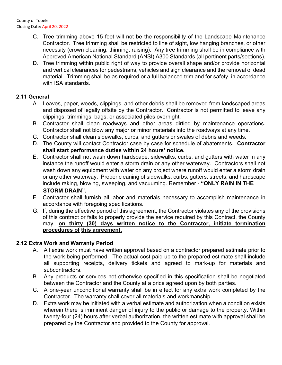- C. Tree trimming above 15 feet will not be the responsibility of the Landscape Maintenance Contractor. Tree trimming shall be restricted to line of sight, low hanging branches, or other necessity (crown cleaning, thinning, raising). Any tree trimming shall be in compliance with Approved American National Standard (ANSI) A300 Standards (all pertinent parts/sections).
- D. Tree trimming within public right of way to provide overall shape and/or provide horizontal and vertical clearances for pedestrians, vehicles and sign clearance and the removal of dead material. Trimming shall be as required or a full balanced trim and for safety, in accordance with ISA standards.

#### **2.11 General**

- A. Leaves, paper, weeds, clippings, and other debris shall be removed from landscaped areas and disposed of legally offsite by the Contractor. Contractor is not permitted to leave any clippings, trimmings, bags, or associated piles overnight.
- B. Contractor shall clean roadways and other areas dirtied by maintenance operations. Contractor shall not blow any major or minor materials into the roadways at any time.
- C. Contractor shall clean sidewalks, curbs, and gutters or swales of debris and weeds.
- D. The County will contact Contractor case by case for schedule of abatements. **Contractor shall start performance duties within 24 hours' notice.**
- E. Contractor shall not wash down hardscape, sidewalks, curbs, and gutters with water in any instance the runoff would enter a storm drain or any other waterway. Contractors shall not wash down any equipment with water on any project where runoff would enter a storm drain or any other waterway. Proper cleaning of sidewalks, curbs, gutters, streets, and hardscape include raking, blowing, sweeping, and vacuuming. Remember - **"ONLY RAIN IN THE STORM DRAIN".**
- F. Contractor shall furnish all labor and materials necessary to accomplish maintenance in accordance with foregoing specifications.
- G. If, during the effective period of this agreement, the Contractor violates any of the provisions of this contract or fails to properly provide the service required by this Contract, the County may, **on thirty (30) days written notice to the Contractor, initiate termination procedures of this agreement.**

#### **2.12 Extra Work and Warranty Period**

- A. All extra work must have written approval based on a contractor prepared estimate prior to the work being performed. The actual cost paid up to the prepared estimate shall include all supporting receipts, delivery tickets and agreed to mark-up for materials and subcontractors.
- B. Any products or services not otherwise specified in this specification shall be negotiated between the Contractor and the County at a price agreed upon by both parties.
- C. A one-year unconditional warranty shall be in effect for any extra work completed by the Contractor. The warranty shall cover all materials and workmanship.
- D. Extra work may be initiated with a verbal estimate and authorization when a condition exists wherein there is imminent danger of injury to the public or damage to the property. Within twenty-four (24) hours after verbal authorization, the written estimate with approval shall be prepared by the Contractor and provided to the County for approval.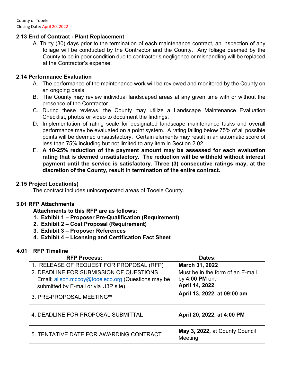#### **2.13 End of Contract - Plant Replacement**

A. Thirty (30) days prior to the termination of each maintenance contract, an inspection of any foliage will be conducted by the Contractor and the County. Any foliage deemed by the County to be in poor condition due to contractor's negligence or mishandling will be replaced at the Contractor's expense.

#### **2.14 Performance Evaluation**

- A. The performance of the maintenance work will be reviewed and monitored by the County on an ongoing basis.
- B. The County may review individual landscaped areas at any given time with or without the presence of the Contractor.
- C. During these reviews, the County may utilize a Landscape Maintenance Evaluation Checklist, photos or video to document the findings.
- D. Implementation of rating scale for designated landscape maintenance tasks and overall performance may be evaluated on a point system. A rating falling below 75% of all possible points will be deemed unsatisfactory. Certain elements may result in an automatic score of less than 75% including but not limited to any item in Section 2.02.
- E. **A 10-25% reduction of the payment amount may be assessed for each evaluation rating that is deemed unsatisfactory. The reduction will be withheld without interest payment until the service is satisfactory. Three (3) consecutive ratings may, at the discretion of the County, result in termination of the entire contract.**

#### **2.15 Project Location(s)**

The contract includes unincorporated areas of Tooele County.

#### **3.01 RFP Attachments**

**Attachments to this RFP are as follows:** 

- **1. Exhibit 1 Proposer Pre-Qualification (Requirement)**
- **2. Exhibit 2 Cost Proposal (Requirement)**
- **3. Exhibit 3 Proposer References**
- **4. Exhibit 4 Licensing and Certification Fact Sheet**

#### **4.01 RFP Timeline**

| <b>RFP Process:</b>                                                                                                                   | Dates:                                                               |
|---------------------------------------------------------------------------------------------------------------------------------------|----------------------------------------------------------------------|
| 1. RELEASE OF REQUEST FOR PROPOSAL (RFP)                                                                                              | March 31, 2022                                                       |
| 2. DEADLINE FOR SUBMISSION OF QUESTIONS<br>Email: alison.mccoy@tooeleco.org (Questions may be<br>submitted by E-mail or via U3P site) | Must be in the form of an E-mail<br>by 4:00 PM on:<br>April 14, 2022 |
| 3. PRE-PROPOSAL MEETING**                                                                                                             | April 13, 2022, at 09:00 am                                          |
| 4. DEADLINE FOR PROPOSAL SUBMITTAL                                                                                                    | April 20, 2022, at 4:00 PM                                           |
| 5. TENTATIVE DATE FOR AWARDING CONTRACT                                                                                               | May 3, 2022, at County Council<br>Meeting                            |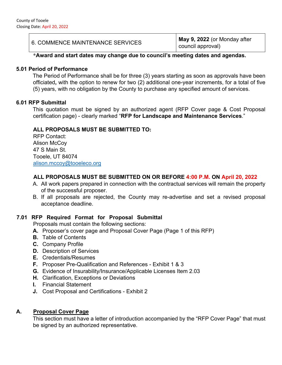6. COMMENCE MAINTENANCE SERVICES **May 9, 2022** (or Monday after council approval)

#### **\*Award and start dates may change due to council's meeting dates and agendas.**

#### **5.01 Period of Performance**

The Period of Performance shall be for three (3) years starting as soon as approvals have been officiated**,** with the option to renew for two (2) additional one-year increments, for a total of five (5) years, with no obligation by the County to purchase any specified amount of services.

#### **6.01 RFP Submittal**

This quotation must be signed by an authorized agent (RFP Cover page & Cost Proposal certification page) - clearly marked "**RFP for Landscape and Maintenance Services**."

#### **ALL PROPOSALS MUST BE SUBMITTED TO:**

RFP Contact: Alison McCoy 47 S Main St. Tooele, UT 84074 alison.mccoy@tooeleco.org

#### **ALL PROPOSALS MUST BE SUBMITTED ON OR BEFORE 4:00 P.M. ON April 20, 2022**

- A. All work papers prepared in connection with the contractual services will remain the property of the successful proposer.
- B. If all proposals are rejected, the County may re-advertise and set a revised proposal acceptance deadline.

#### **7.01 RFP Required Format for Proposal Submittal**

Proposals must contain the following sections:

- **A.** Proposer's cover page and Proposal Cover Page (Page 1 of this RFP)
- **B.** Table of Contents
- **C.** Company Profile
- **D.** Description of Services
- **E.** Credentials/Resumes
- **F.** Proposer Pre-Qualification and References Exhibit 1 & 3
- **G.** Evidence of Insurability/Insurance/Applicable Licenses Item 2.03
- **H.** Clarification, Exceptions or Deviations
- **I.** Financial Statement
- **J.** Cost Proposal and Certifications Exhibit 2

#### **A. Proposal Cover Page**

This section must have a letter of introduction accompanied by the "RFP Cover Page" that must be signed by an authorized representative.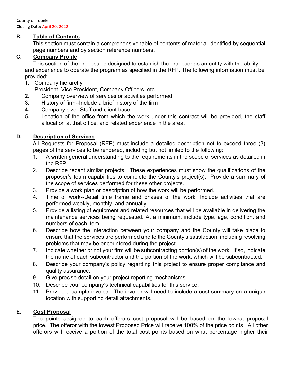County of Tooele Closing Date: April 20, 2022

#### **B. Table of Contents**

This section must contain a comprehensive table of contents of material identified by sequential page numbers and by section reference numbers.

#### **C. Company Profile**

This section of the proposal is designed to establish the proposer as an entity with the ability and experience to operate the program as specified in the RFP. The following information must be provided:

- **1.** Company hierarchy
	- President, Vice President, Company Officers, etc.
- **2.** Company overview of services or activities performed.
- **3.** History of firm--Include a brief history of the firm
- **4.** Company size--Staff and client base
- **5.** Location of the office from which the work under this contract will be provided, the staff allocation at that office, and related experience in the area.

#### **D. Description of Services**

All Requests for Proposal (RFP) must include a detailed description not to exceed three (3) pages of the services to be rendered, including but not limited to the following:

- 1. A written general understanding to the requirements in the scope of services as detailed in the RFP.
- 2. Describe recent similar projects. These experiences must show the qualifications of the proposer's team capabilities to complete the County's project(s). Provide a summary of the scope of services performed for these other projects.
- 3. Provide a work plan or description of how the work will be performed.
- 4. Time of work--Detail time frame and phases of the work. Include activities that are performed weekly, monthly, and annually.
- 5. Provide a listing of equipment and related resources that will be available in delivering the maintenance services being requested. At a minimum, include type, age, condition, and numbers of each item.
- 6. Describe how the interaction between your company and the County will take place to ensure that the services are performed and to the County's satisfaction, including resolving problems that may be encountered during the project.
- 7. Indicate whether or not your firm will be subcontracting portion(s) of the work. If so, indicate the name of each subcontractor and the portion of the work, which will be subcontracted.
- 8. Describe your company's policy regarding this project to ensure proper compliance and quality assurance.
- 9. Give precise detail on your project reporting mechanisms.
- 10. Describe your company's technical capabilities for this service.
- 11. Provide a sample invoice. The invoice will need to include a cost summary on a unique location with supporting detail attachments.

#### **E. Cost Proposal**

The points assigned to each offerors cost proposal will be based on the lowest proposal price. The offeror with the lowest Proposed Price will receive 100% of the price points. All other offerors will receive a portion of the total cost points based on what percentage higher their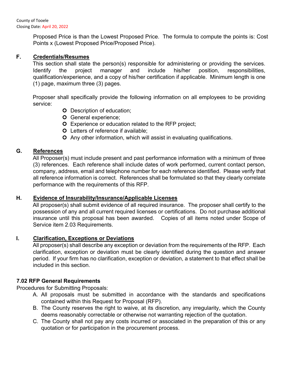Proposed Price is than the Lowest Proposed Price. The formula to compute the points is: Cost Points x (Lowest Proposed Price/Proposed Price).

#### **F. Credentials/Resumes**

This section shall state the person(s) responsible for administering or providing the services. Identify the project manager and include his/her position, responsibilities, qualification/experience, and a copy of his/her certification if applicable. Minimum length is one (1) page, maximum three (3) pages.

Proposer shall specifically provide the following information on all employees to be providing service:

- **O** Description of education;
- **O** General experience;
- Experience or education related to the RFP project;
- **O** Letters of reference if available;
- Any other information, which will assist in evaluating qualifications.

#### **G. References**

All Proposer(s) must include present and past performance information with a minimum of three (3) references. Each reference shall include dates of work performed, current contact person, company, address, email and telephone number for each reference identified. Please verify that all reference information is correct. References shall be formulated so that they clearly correlate performance with the requirements of this RFP.

#### **H. Evidence of Insurability/Insurance/Applicable Licenses**

All proposer(s) shall submit evidence of all required insurance. The proposer shall certify to the possession of any and all current required licenses or certifications. Do not purchase additional insurance until this proposal has been awarded. Copies of all items noted under Scope of Service item 2.03 Requirements.

#### **I. Clarification, Exceptions or Deviations**

All proposer(s) shall describe any exception or deviation from the requirements of the RFP. Each clarification, exception or deviation must be clearly identified during the question and answer period. If your firm has no clarification, exception or deviation, a statement to that effect shall be included in this section.

#### **7.02 RFP General Requirements**

Procedures for Submitting Proposals:

- A. All proposals must be submitted in accordance with the standards and specifications contained within this Request for Proposal (RFP).
- B. The County reserves the right to waive, at its discretion, any irregularity, which the County deems reasonably correctable or otherwise not warranting rejection of the quotation.
- C. The County shall not pay any costs incurred or associated in the preparation of this or any quotation or for participation in the procurement process.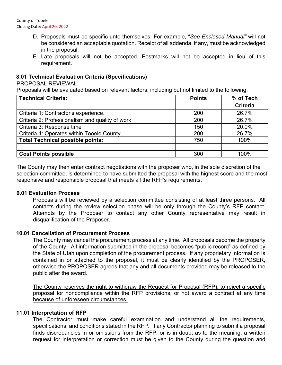County of Tooele Closing Date: April 20, 2022

- D. Proposals must be specific unto themselves. For example, "*See Enclosed Manual"* will not be considered an acceptable quotation. Receipt of all addenda, if any, must be acknowledged in the proposal.
- E. Late proposals will not be accepted. Postmarks will not be accepted in lieu of this requirement.

#### **8.01 Technical Evaluation Criteria (Specifications)**

PROPOSAL REVIEWAL:

Proposals will be evaluated based on relevant factors, including but not limited to the following:

| <b>Technical Criteria:</b>                      | <b>Points</b> | % of Tech       |
|-------------------------------------------------|---------------|-----------------|
|                                                 |               | <b>Criteria</b> |
| Criteria 1: Contractor's experience.            | 200           | 26.7%           |
| Criteria 2: Professionalism and quality of work | 200           | 26.7%           |
| Criteria 3: Response time                       | 150           | 20.0%           |
| Criteria 4: Operates within Tooele County       | 200           | 26.7%           |
| <b>Total Technical possible points:</b>         | 750           | 100%            |
|                                                 |               |                 |
| <b>Cost Points possible</b>                     | 300           | 100%            |

The County may then enter contract negotiations with the proposer who, in the sole discretion of the selection committee, is determined to have submitted the proposal with the highest score and the most responsive and responsible proposal that meets all the RFP's requirements.

#### **9.01 Evaluation Process**

Proposals will be reviewed by a selection committee consisting of at least three persons. All contacts during the review selection phase will be only through the County's RFP contact. Attempts by the Proposer to contact any other County representative may result in disqualification of the Proposer.

#### **10.01 Cancellation of Procurement Process**

The County may cancel the procurement process at any time. All proposals become the property of the County. All information submitted in the proposal becomes "public record" as defined by the State of Utah upon completion of the procurement process. If any proprietary information is contained in or attached to the proposal, it must be clearly identified by the PROPOSER, otherwise the PROPOSER agrees that any and all documents provided may be released to the public after the award.

The County reserves the right to withdraw the Request for Proposal (RFP), to reject a specific proposal for noncompliance within the RFP provisions, or not award a contract at any time because of unforeseen circumstances.

#### **11.01 Interpretation of RFP**

The Contractor must make careful examination and understand all the requirements, specifications, and conditions stated in the RFP. If any Contractor planning to submit a proposal finds discrepancies in or omissions from the RFP, or is in doubt as to the meaning, a written request for interpretation or correction must be given to the County during the question and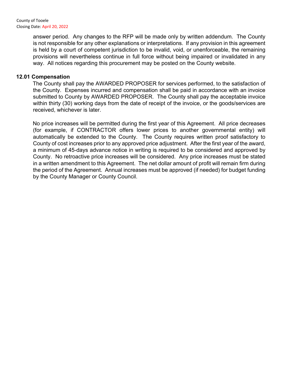answer period. Any changes to the RFP will be made only by written addendum. The County is not responsible for any other explanations or interpretations. If any provision in this agreement is held by a court of competent jurisdiction to be invalid, void, or unenforceable, the remaining provisions will nevertheless continue in full force without being impaired or invalidated in any way. All notices regarding this procurement may be posted on the County website.

#### **12.01 Compensation**

The County shall pay the AWARDED PROPOSER for services performed, to the satisfaction of the County. Expenses incurred and compensation shall be paid in accordance with an invoice submitted to County by AWARDED PROPOSER. The County shall pay the acceptable invoice within thirty (30) working days from the date of receipt of the invoice, or the goods/services are received, whichever is later.

No price increases will be permitted during the first year of this Agreement. All price decreases (for example, if CONTRACTOR offers lower prices to another governmental entity) will automatically be extended to the County. The County requires written proof satisfactory to County of cost increases prior to any approved price adjustment. After the first year of the award, a minimum of 45-days advance notice in writing is required to be considered and approved by County. No retroactive price increases will be considered. Any price increases must be stated in a written amendment to this Agreement. The net dollar amount of profit will remain firm during the period of the Agreement. Annual increases must be approved (if needed) for budget funding by the County Manager or County Council.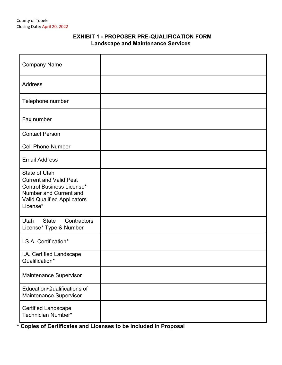#### **EXHIBIT 1 - PROPOSER PRE-QUALIFICATION FORM Landscape and Maintenance Services**

| <b>Company Name</b>                                                                                                                                                   |  |
|-----------------------------------------------------------------------------------------------------------------------------------------------------------------------|--|
| Address                                                                                                                                                               |  |
| Telephone number                                                                                                                                                      |  |
| Fax number                                                                                                                                                            |  |
| <b>Contact Person</b>                                                                                                                                                 |  |
| <b>Cell Phone Number</b>                                                                                                                                              |  |
| <b>Email Address</b>                                                                                                                                                  |  |
| <b>State of Utah</b><br><b>Current and Valid Pest</b><br><b>Control Business License*</b><br>Number and Current and<br><b>Valid Qualified Applicators</b><br>License* |  |
| <b>State</b><br>Utah<br>Contractors<br>License* Type & Number                                                                                                         |  |
| I.S.A. Certification*                                                                                                                                                 |  |
| I.A. Certified Landscape<br>Qualification*                                                                                                                            |  |
| Maintenance Supervisor                                                                                                                                                |  |
| Education/Qualifications of<br>Maintenance Supervisor                                                                                                                 |  |
| <b>Certified Landscape</b><br>Technician Number*                                                                                                                      |  |

\* **Copies of Certificates and Licenses to be included in Proposal**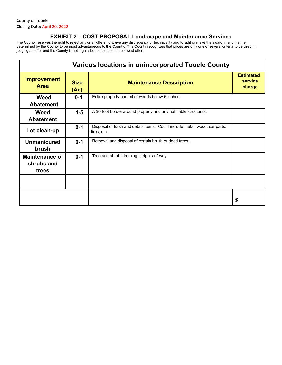County of Tooele Closing Date: April 20, 2022

#### **EXHIBIT 2 – COST PROPOSAL Landscape and Maintenance Services**

The County reserves the right to reject any or all offers, to waive any discrepancy or technicality and to split or make the award in any manner determined by the County to be most advantageous to the County. The County recognizes that prices are only one of several criteria to be used in judging an offer and the County is not legally bound to accept the lowest offer.

| <b>Various locations in unincorporated Tooele County</b> |                     |                                                                                          |                                       |
|----------------------------------------------------------|---------------------|------------------------------------------------------------------------------------------|---------------------------------------|
| <b>Improvement</b><br><b>Area</b>                        | <b>Size</b><br>(Ac) | <b>Maintenance Description</b>                                                           | <b>Estimated</b><br>service<br>charge |
| <b>Weed</b><br><b>Abatement</b>                          | $0 - 1$             | Entire property abated of weeds below 6 inches.                                          |                                       |
| Weed<br><b>Abatement</b>                                 | $1 - 5$             | A 30-foot border around property and any habitable structures.                           |                                       |
| Lot clean-up                                             | $0 - 1$             | Disposal of trash and debris items. Could include metal, wood, car parts,<br>tires, etc. |                                       |
| <b>Unmanicured</b><br>brush                              | $0 - 1$             | Removal and disposal of certain brush or dead trees.                                     |                                       |
| <b>Maintenance of</b><br>shrubs and<br>trees             | $0 - 1$             | Tree and shrub trimming in rights-of-way.                                                |                                       |
|                                                          |                     |                                                                                          |                                       |
|                                                          |                     |                                                                                          | \$                                    |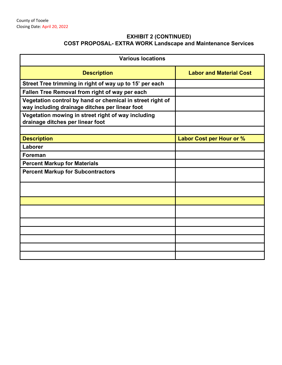#### **EXHIBIT 2 (CONTINUED) COST PROPOSAL- EXTRA WORK Landscape and Maintenance Services**

| <b>Various locations</b>                                                                                    |                                 |
|-------------------------------------------------------------------------------------------------------------|---------------------------------|
| <b>Description</b>                                                                                          | <b>Labor and Material Cost</b>  |
| Street Tree trimming in right of way up to 15' per each                                                     |                                 |
| Fallen Tree Removal from right of way per each                                                              |                                 |
| Vegetation control by hand or chemical in street right of<br>way including drainage ditches per linear foot |                                 |
| Vegetation mowing in street right of way including<br>drainage ditches per linear foot                      |                                 |
|                                                                                                             |                                 |
| <b>Description</b>                                                                                          | <b>Labor Cost per Hour or %</b> |
| Laborer                                                                                                     |                                 |
| <b>Foreman</b>                                                                                              |                                 |
| <b>Percent Markup for Materials</b>                                                                         |                                 |
| <b>Percent Markup for Subcontractors</b>                                                                    |                                 |
|                                                                                                             |                                 |
|                                                                                                             |                                 |
|                                                                                                             |                                 |
|                                                                                                             |                                 |
|                                                                                                             |                                 |
|                                                                                                             |                                 |
|                                                                                                             |                                 |
|                                                                                                             |                                 |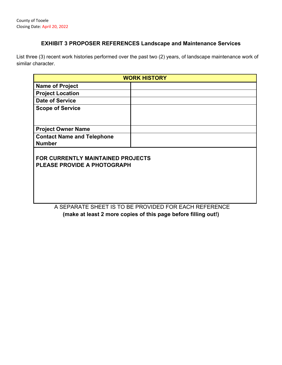#### **EXHIBIT 3 PROPOSER REFERENCES Landscape and Maintenance Services**

List three (3) recent work histories performed over the past two (2) years, of landscape maintenance work of similar character.

|                                                                  | <b>WORK HISTORY</b> |
|------------------------------------------------------------------|---------------------|
| <b>Name of Project</b>                                           |                     |
| <b>Project Location</b>                                          |                     |
| <b>Date of Service</b>                                           |                     |
| <b>Scope of Service</b>                                          |                     |
| <b>Project Owner Name</b>                                        |                     |
| <b>Contact Name and Telephone</b><br><b>Number</b>               |                     |
| FOR CURRENTLY MAINTAINED PROJECTS<br>PLEASE PROVIDE A PHOTOGRAPH |                     |

A SEPARATE SHEET IS TO BE PROVIDED FOR EACH REFERENCE **(make at least 2 more copies of this page before filling out!)**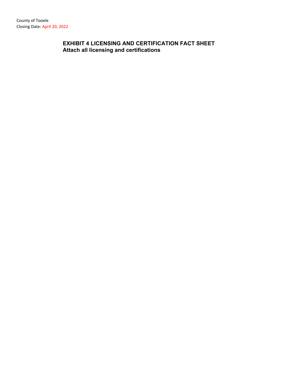### **EXHIBIT 4 LICENSING AND CERTIFICATION FACT SHEET Attach all licensing and certifications**